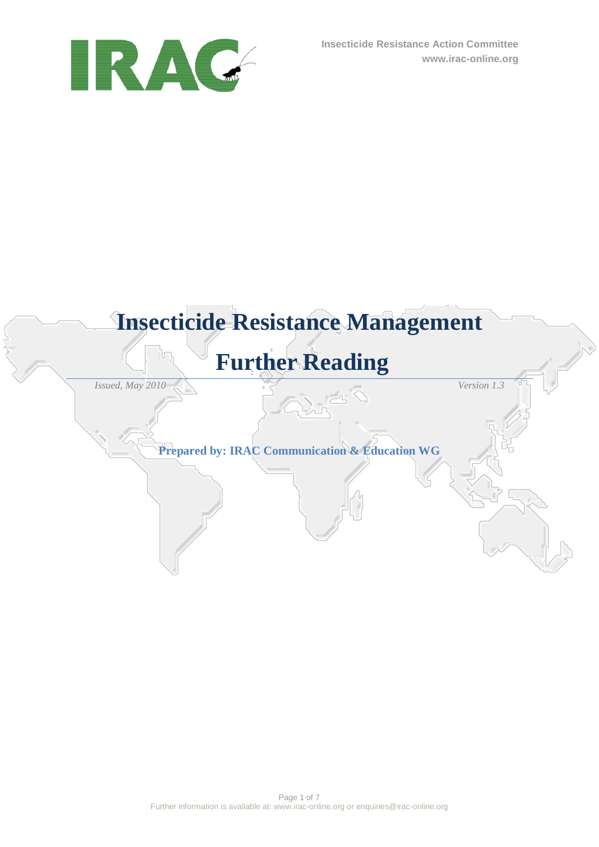

# **Insecticide Resistance Management**

# **Further Reading**

*Issued, May 2010 Version 1.3*

**Prepared by: IRAC Communication & Education WG**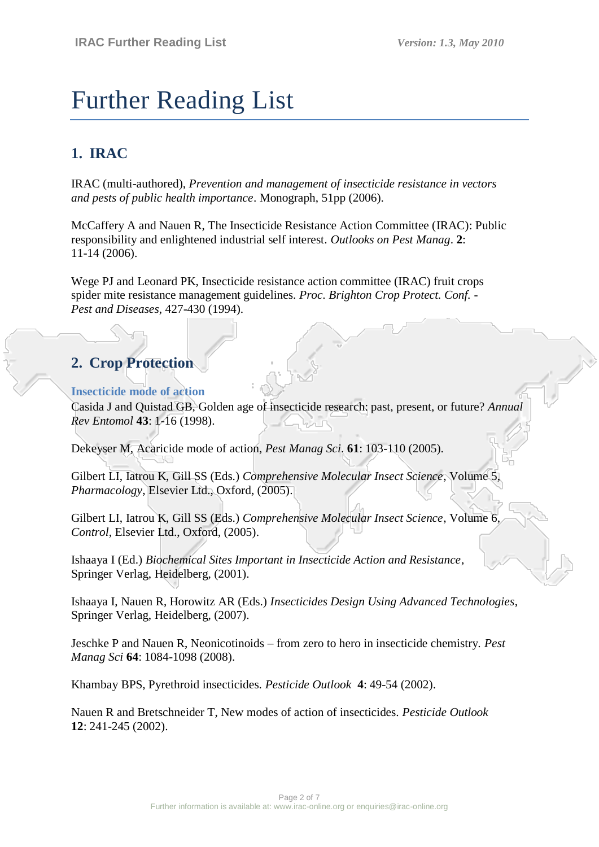# Further Reading List

## **1. IRAC**

IRAC (multi-authored), *Prevention and management of insecticide resistance in vectors and pests of public health importance*. Monograph, 51pp (2006).

McCaffery A and Nauen R, The Insecticide Resistance Action Committee (IRAC): Public responsibility and enlightened industrial self interest. *Outlooks on Pest Manag*. **2**: 11-14 (2006).

Wege PJ and Leonard PK, Insecticide resistance action committee (IRAC) fruit crops spider mite resistance management guidelines. *Proc. Brighton Crop Protect. Conf. - Pest and Diseases*, 427-430 (1994).

## **2. Crop Protection**

#### **Insecticide mode of action**

Casida J and Quistad GB, Golden age of insecticide research: past, present, or future? *Annual Rev Entomol* **43**: 1-16 (1998).

Dekeyser M, Acaricide mode of action, *Pest Manag Sci*. **61**: 103-110 (2005).

Gilbert LI, Iatrou K, Gill SS (Eds.) *Comprehensive Molecular Insect Science*, Volume 5, *Pharmacology*, Elsevier Ltd., Oxford, (2005).

Gilbert LI, Iatrou K, Gill SS (Eds.) *Comprehensive Molecular Insect Science*, Volume 6, *Control*, Elsevier Ltd., Oxford, (2005).

Ishaaya I (Ed.) *Biochemical Sites Important in Insecticide Action and Resistance*, Springer Verlag, Heidelberg, (2001).

Ishaaya I, Nauen R, Horowitz AR (Eds.) *Insecticides Design Using Advanced Technologies*, Springer Verlag, Heidelberg, (2007).

Jeschke P and Nauen R, Neonicotinoids – from zero to hero in insecticide chemistry. *Pest Manag Sci* **64**: 1084-1098 (2008).

Khambay BPS, Pyrethroid insecticides. *Pesticide Outlook* **4**: 49-54 (2002).

Nauen R and Bretschneider T, New modes of action of insecticides. *Pesticide Outlook* **12**: 241-245 (2002).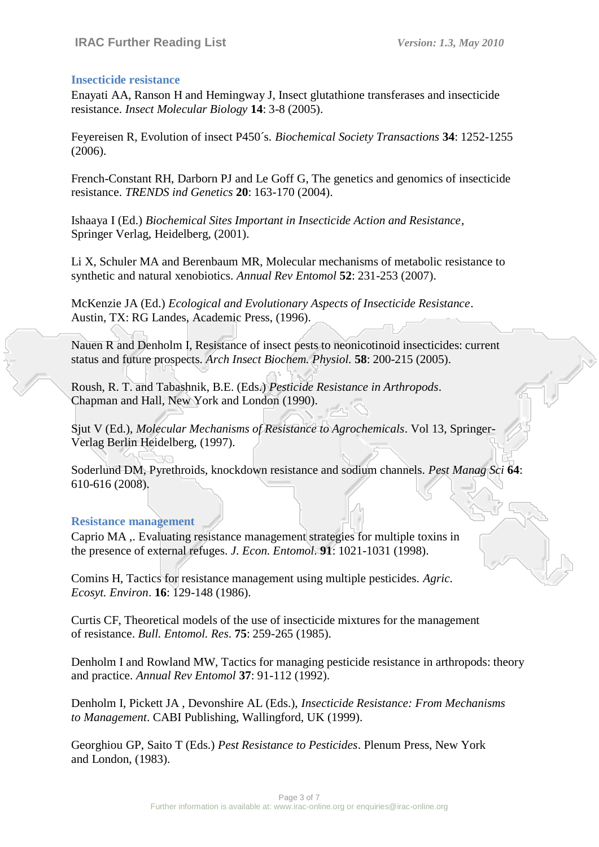#### **Insecticide resistance**

Enayati AA, Ranson H and Hemingway J, Insect glutathione transferases and insecticide resistance. *Insect Molecular Biology* **14**: 3-8 (2005).

Feyereisen R, Evolution of insect P450´s. *Biochemical Society Transactions* **34**: 1252-1255 (2006).

French-Constant RH, Darborn PJ and Le Goff G, The genetics and genomics of insecticide resistance. *TRENDS ind Genetics* **20**: 163-170 (2004).

Ishaaya I (Ed.) *Biochemical Sites Important in Insecticide Action and Resistance*, Springer Verlag, Heidelberg, (2001).

Li X, Schuler MA and Berenbaum MR, Molecular mechanisms of metabolic resistance to synthetic and natural xenobiotics. *Annual Rev Entomol* **52**: 231-253 (2007).

McKenzie JA (Ed.) *Ecological and Evolutionary Aspects of Insecticide Resistance*. Austin, TX: RG Landes, Academic Press, (1996).

Nauen R and Denholm I, Resistance of insect pests to neonicotinoid insecticides: current status and future prospects. *Arch Insect Biochem. Physiol.* **58**: 200-215 (2005).

Roush, R. T. and Tabashnik, B.E. (Eds.) *Pesticide Resistance in Arthropods*. Chapman and Hall, New York and London (1990).

Sjut V (Ed.), *Molecular Mechanisms of Resistance to Agrochemicals*. Vol 13, Springer-Verlag Berlin Heidelberg, (1997).

Soderlund DM, Pyrethroids, knockdown resistance and sodium channels. *Pest Manag Sci* **64**: 610-616 (2008).

#### **Resistance management**

Caprio MA ,. Evaluating resistance management strategies for multiple toxins in the presence of external refuges. *J. Econ. Entomol*. **91**: 1021-1031 (1998).

Comins H, Tactics for resistance management using multiple pesticides. *Agric. Ecosyt. Environ*. **16**: 129-148 (1986).

Curtis CF, Theoretical models of the use of insecticide mixtures for the management of resistance. *Bull. Entomol. Res*. **75**: 259-265 (1985).

Denholm I and Rowland MW, Tactics for managing pesticide resistance in arthropods: theory and practice. *Annual Rev Entomol* **37**: 91-112 (1992).

Denholm I, Pickett JA , Devonshire AL (Eds.), *Insecticide Resistance: From Mechanisms to Management*. CABI Publishing, Wallingford, UK (1999).

Georghiou GP, Saito T (Eds.) *Pest Resistance to Pesticides*. Plenum Press, New York and London, (1983).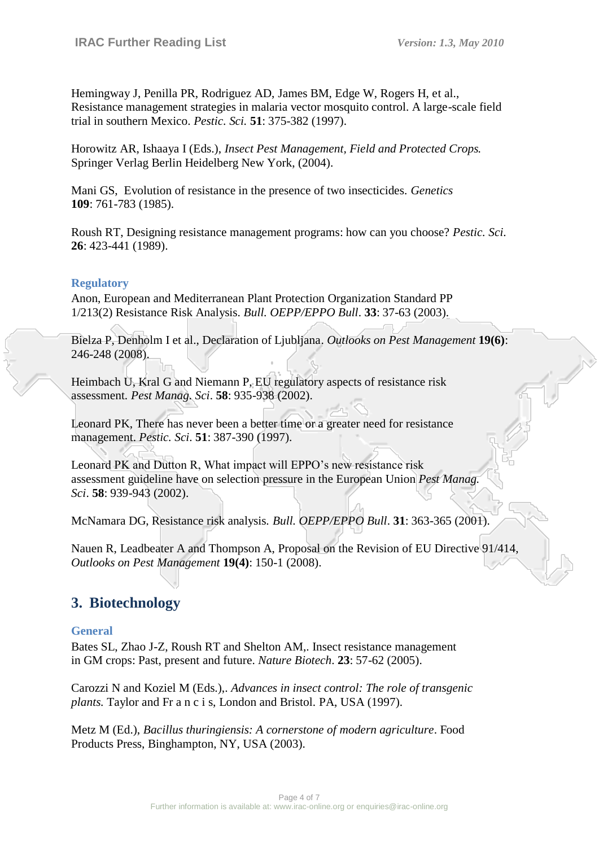Hemingway J, Penilla PR, Rodriguez AD, James BM, Edge W, Rogers H, et al., Resistance management strategies in malaria vector mosquito control. A large-scale field trial in southern Mexico. *Pestic. Sci.* **51**: 375-382 (1997).

Horowitz AR, Ishaaya I (Eds.), *Insect Pest Management, Field and Protected Crops.* Springer Verlag Berlin Heidelberg New York, (2004).

Mani GS, Evolution of resistance in the presence of two insecticides. *Genetics* **109**: 761-783 (1985).

Roush RT, Designing resistance management programs: how can you choose? *Pestic. Sci.* **26**: 423-441 (1989).

#### **Regulatory**

Anon, European and Mediterranean Plant Protection Organization Standard PP 1/213(2) Resistance Risk Analysis. *Bull. OEPP/EPPO Bull*. **33**: 37-63 (2003).

Bielza P, Denholm I et al., Declaration of Ljubljana. *Outlooks on Pest Management* **19(6)**: 246-248 (2008).

Heimbach U, Kral G and Niemann P, EU regulatory aspects of resistance risk assessment*. Pest Manag. Sci*. **58**: 935-938 (2002).

Leonard PK, There has never been a better time or a greater need for resistance management. *Pestic. Sci*. **51**: 387-390 (1997).

Leonard PK and Dutton R, What impact will EPPO's new resistance risk assessment guideline have on selection pressure in the European Union *Pest Manag. Sci*. **58**: 939-943 (2002).

McNamara DG, Resistance risk analysis. *Bull. OEPP/EPPO Bull*. **31**: 363-365 (2001).

Nauen R, Leadbeater A and Thompson A, Proposal on the Revision of EU Directive 91/414, *Outlooks on Pest Management* **19(4)**: 150-1 (2008).

### **3. Biotechnology**

#### **General**

Bates SL, Zhao J-Z, Roush RT and Shelton AM,. Insect resistance management in GM crops: Past, present and future. *Nature Biotech*. **23**: 57-62 (2005).

Carozzi N and Koziel M (Eds.),. *Advances in insect control: The role of transgenic plants.* Taylor and Fr a n c i s, London and Bristol. PA, USA (1997).

Metz M (Ed.), *Bacillus thuringiensis: A cornerstone of modern agriculture*. Food Products Press, Binghampton, NY, USA (2003).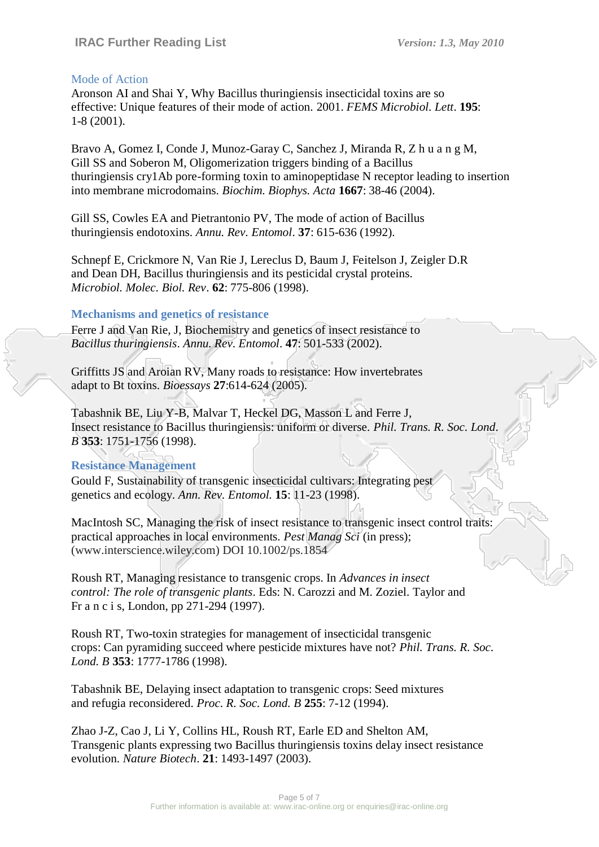#### Mode of Action

Aronson AI and Shai Y, Why Bacillus thuringiensis insecticidal toxins are so effective: Unique features of their mode of action. 2001. *FEMS Microbiol. Lett*. **195**: 1-8 (2001).

Bravo A, Gomez I, Conde J, Munoz-Garay C, Sanchez J, Miranda R, Z h u a n g M, Gill SS and Soberon M, Oligomerization triggers binding of a Bacillus thuringiensis cry1Ab pore-forming toxin to aminopeptidase N receptor leading to insertion into membrane microdomains. *Biochim. Biophys. Acta* **1667**: 38-46 (2004).

Gill SS, Cowles EA and Pietrantonio PV, The mode of action of Bacillus thuringiensis endotoxins. *Annu. Rev. Entomol*. **37**: 615-636 (1992).

Schnepf E, Crickmore N, Van Rie J, Lereclus D, Baum J, Feitelson J, Zeigler D.R and Dean DH, Bacillus thuringiensis and its pesticidal crystal proteins. *Microbiol. Molec. Biol. Rev*. **62**: 775-806 (1998).

#### **Mechanisms and genetics of resistance**

Ferre J and Van Rie, J, Biochemistry and genetics of insect resistance to *Bacillus thuringiensis*. *Annu. Rev. Entomol*. **47**: 501-533 (2002).

Griffitts JS and Aroian RV, Many roads to resistance: How invertebrates adapt to Bt toxins. *Bioessays* **27**:614-624 (2005).

Tabashnik BE, Liu Y-B, Malvar T, Heckel DG, Masson L and Ferre J, Insect resistance to Bacillus thuringiensis: uniform or diverse. *Phil. Trans. R. Soc. Lond*. *B* **353**: 1751-1756 (1998).

#### **Resistance Management**

Gould F, Sustainability of transgenic insecticidal cultivars: Integrating pest genetics and ecology. *Ann. Rev. Entomol.* **15**: 11-23 (1998).

MacIntosh SC, Managing the risk of insect resistance to transgenic insect control traits: practical approaches in local environments. *Pest Manag Sci* (in press); (www.interscience.wiley.com) DOI 10.1002/ps.1854

Roush RT, Managing resistance to transgenic crops. In *Advances in insect control: The role of transgenic plants*. Eds: N. Carozzi and M. Zoziel. Taylor and Fr a n c i s, London, pp 271-294 (1997).

Roush RT, Two-toxin strategies for management of insecticidal transgenic crops: Can pyramiding succeed where pesticide mixtures have not? *Phil. Trans. R. Soc. Lond. B* **353**: 1777-1786 (1998).

Tabashnik BE, Delaying insect adaptation to transgenic crops: Seed mixtures and refugia reconsidered. *Proc. R. Soc. Lond. B* **255**: 7-12 (1994).

Zhao J-Z, Cao J, Li Y, Collins HL, Roush RT, Earle ED and Shelton AM, Transgenic plants expressing two Bacillus thuringiensis toxins delay insect resistance evolution. *Nature Biotech*. **21**: 1493-1497 (2003).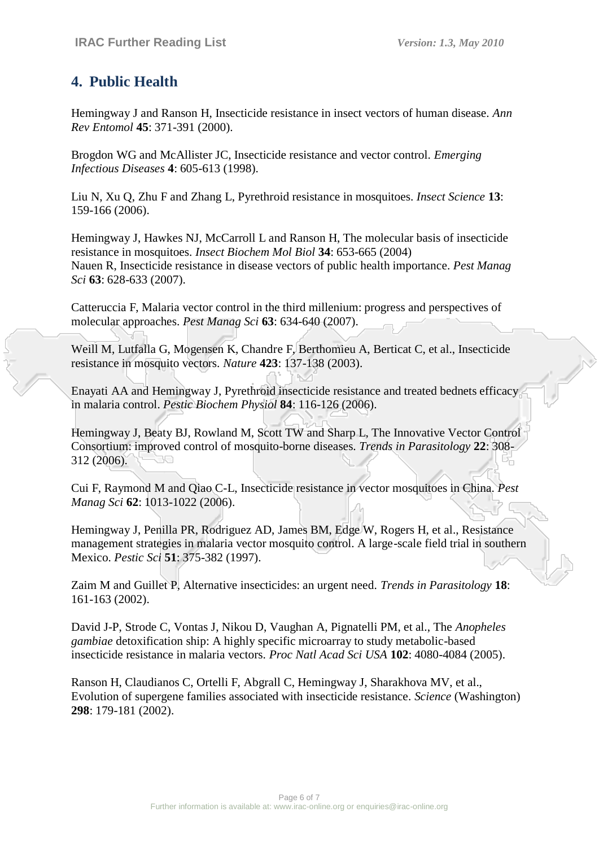## **4. Public Health**

Hemingway J and Ranson H, Insecticide resistance in insect vectors of human disease. *Ann Rev Entomol* **45**: 371-391 (2000).

Brogdon WG and McAllister JC, Insecticide resistance and vector control. *Emerging Infectious Diseases* **4**: 605-613 (1998).

Liu N, Xu Q, Zhu F and Zhang L, Pyrethroid resistance in mosquitoes. *Insect Science* **13**: 159-166 (2006).

Hemingway J, Hawkes NJ, McCarroll L and Ranson H, The molecular basis of insecticide resistance in mosquitoes. *Insect Biochem Mol Biol* **34**: 653-665 (2004) Nauen R, Insecticide resistance in disease vectors of public health importance. *Pest Manag Sci* **63**: 628-633 (2007).

Catteruccia F, Malaria vector control in the third millenium: progress and perspectives of molecular approaches. *Pest Manag Sci* **63**: 634-640 (2007).

Weill M, Lutfalla G, Mogensen K, Chandre F, Berthomieu A, Berticat C, et al., Insecticide resistance in mosquito vectors. *Nature* **423**: 137-138 (2003).

Enayati AA and Hemingway J, Pyrethroid insecticide resistance and treated bednets efficacy in malaria control. *Pestic Biochem Physiol* **84**: 116-126 (2006).

Hemingway J, Beaty BJ, Rowland M, Scott TW and Sharp L, The Innovative Vector Control Consortium: improved control of mosquito-borne diseases. *Trends in Parasitology* **22**: 308- 312 (2006).

Cui F, Raymond M and Qiao C-L, Insecticide resistance in vector mosquitoes in China. *Pest Manag Sci* **62**: 1013-1022 (2006).

Hemingway J, Penilla PR, Rodriguez AD, James BM, Edge W, Rogers H, et al., Resistance management strategies in malaria vector mosquito control. A large-scale field trial in southern Mexico. *Pestic Sci* **51**: 375-382 (1997).

Zaim M and Guillet P, Alternative insecticides: an urgent need. *Trends in Parasitology* **18**: 161-163 (2002).

David J-P, Strode C, Vontas J, Nikou D, Vaughan A, Pignatelli PM, et al., The *Anopheles gambiae* detoxification ship: A highly specific microarray to study metabolic-based insecticide resistance in malaria vectors. *Proc Natl Acad Sci USA* **102**: 4080-4084 (2005).

Ranson H, Claudianos C, Ortelli F, Abgrall C, Hemingway J, Sharakhova MV, et al., Evolution of supergene families associated with insecticide resistance. *Science* (Washington) **298**: 179-181 (2002).